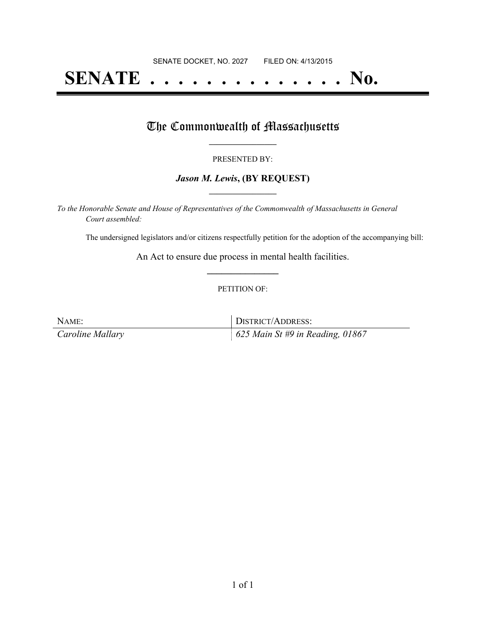# **SENATE . . . . . . . . . . . . . . No.**

### The Commonwealth of Massachusetts

#### PRESENTED BY:

#### *Jason M. Lewis***, (BY REQUEST) \_\_\_\_\_\_\_\_\_\_\_\_\_\_\_\_\_**

*To the Honorable Senate and House of Representatives of the Commonwealth of Massachusetts in General Court assembled:*

The undersigned legislators and/or citizens respectfully petition for the adoption of the accompanying bill:

An Act to ensure due process in mental health facilities. **\_\_\_\_\_\_\_\_\_\_\_\_\_\_\_**

#### PETITION OF:

NAME: DISTRICT/ADDRESS: *Caroline Mallary 625 Main St #9 in Reading, 01867*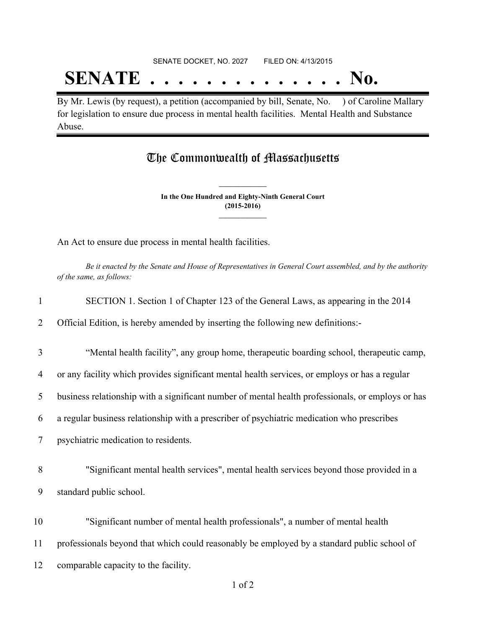# SENATE DOCKET, NO. 2027 FILED ON: 4/13/2015 **SENATE . . . . . . . . . . . . . . No.**

By Mr. Lewis (by request), a petition (accompanied by bill, Senate, No. ) of Caroline Mallary for legislation to ensure due process in mental health facilities. Mental Health and Substance Abuse.

## The Commonwealth of Massachusetts

**In the One Hundred and Eighty-Ninth General Court (2015-2016) \_\_\_\_\_\_\_\_\_\_\_\_\_\_\_**

**\_\_\_\_\_\_\_\_\_\_\_\_\_\_\_**

An Act to ensure due process in mental health facilities.

Be it enacted by the Senate and House of Representatives in General Court assembled, and by the authority *of the same, as follows:*

| $\mathbf{1}$   | SECTION 1. Section 1 of Chapter 123 of the General Laws, as appearing in the 2014                 |
|----------------|---------------------------------------------------------------------------------------------------|
| 2              | Official Edition, is hereby amended by inserting the following new definitions:-                  |
| 3              | "Mental health facility", any group home, therapeutic boarding school, therapeutic camp,          |
| $\overline{4}$ | or any facility which provides significant mental health services, or employs or has a regular    |
| 5              | business relationship with a significant number of mental health professionals, or employs or has |
| 6              | a regular business relationship with a prescriber of psychiatric medication who prescribes        |
| 7              | psychiatric medication to residents.                                                              |
| 8              | "Significant mental health services", mental health services beyond those provided in a           |
| 9              | standard public school.                                                                           |
| 10             | "Significant number of mental health professionals", a number of mental health                    |
| 11             | professionals beyond that which could reasonably be employed by a standard public school of       |
| 12             | comparable capacity to the facility.                                                              |
|                |                                                                                                   |